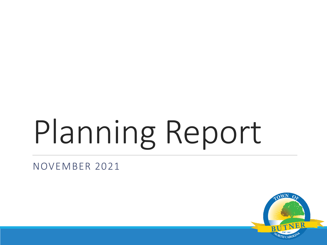# Planning Report

NOVEMBER 2021

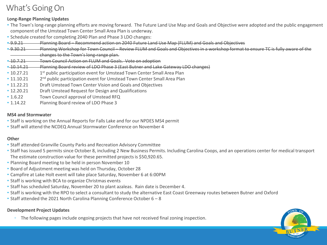### What's Going On

#### **Long-Range Planning Updates**

- The Town's long-range planning efforts are moving forward. The Future Land Use Map and Goals and Objective were adopted and the public engagement component of the Umstead Town Center Small Area Plan is underway.
- Schedule created for completing 2040 Plan and Phase 3 LDO changes:
- 9.9.21 Planning Board Recommend action on 2040 Future Land Use Map (FLUM) and Goals and Objectives
- 9.30.21 Planning Workshop for Town Council Review FLUM and Goals and Objectives in a workshop format to ensure TC is fully aware of the changes to the Town's long-range plan.
- 10.7.21 Town Council Action on FLUM and Goals. Vote on adoption
- 10.14.21 Planning Board review of LDO Phase 3 (East Butner and Lake Gateway LDO changes)
- $10.27.21$ 1<sup>st</sup> public participation event for Umstead Town Center Small Area Plan
- $11.10.21$ 2<sup>nd</sup> public participation event for Umstead Town Center Small Area Plan
- 11.22.21 Draft Umstead Town Center Vision and Goals and Objectives
- 12.20.21 Draft Umstead Request for Design and Qualifications
- 1.6.22 Town Council approval of Umstead RFQ
- 1.14.22 Planning Board review of LDO Phase 3

#### **MS4 and Stormwater**

- Staff is working on the Annual Reports for Falls Lake and for our NPDES MS4 permit
- Staff will attend the NCDEQ Annual Stormwater Conference on November 4

#### **Other**

- Staff attended Granville County Parks and Recreation Advisory Committee
- Staff has issued 5 permits since October 8, including 2 New Business Permits. Including Carolina Coops, and an operations center for medical transport The estimate construction value for these permitted projects is \$50,920.65.
- Planning Board meeting to be held in person November 10
- Board of Adjustment meeting was held on Thursday, October 28
- Campfire at Lake Holt event will take place Saturday, November 6 at 6:00PM
- Staff is working with BCA to organize Christmas events
- Staff has scheduled Saturday, November 20 to plant azaleas. Rain date is December 4.
- Staff is working with the RPO to select a consultant to study the alternative East Coast Greenway routes between Butner and Oxford
- Staff attended the 2021 North Carolina Planning Conference October 6 8

#### **Development Project Updates**

◦ The following pages include ongoing projects that have not received final zoning inspection.

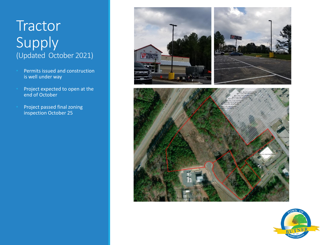## **Tractor** Supply (Updated October 2021)

- Permits issued and construction is well under way
- Project expected to open at the end of October
- Project passed final zoning inspection October 25





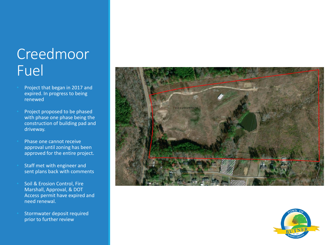## Creedmoor Fuel

- Project that began in 2017 and expired. In progress to being renewed
- Project proposed to be phased with phase one phase being the construction of building pad and driveway.
- Phase one cannot receive approval until zoning has been approved for the entire project.
- Staff met with engineer and sent plans back with comments
- Soil & Erosion Control, Fire Marshall, Approval, & DOT Access permit have expired and need renewal.
- Stormwater deposit required prior to further review



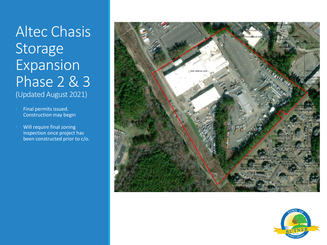Altec Chasis Storage **Expansion** Phase 2 & 3 (Updated August 2021)

• Final permits issued. Construction may begin

• Will require final zoning inspection once project has been constructed prior to c/o.